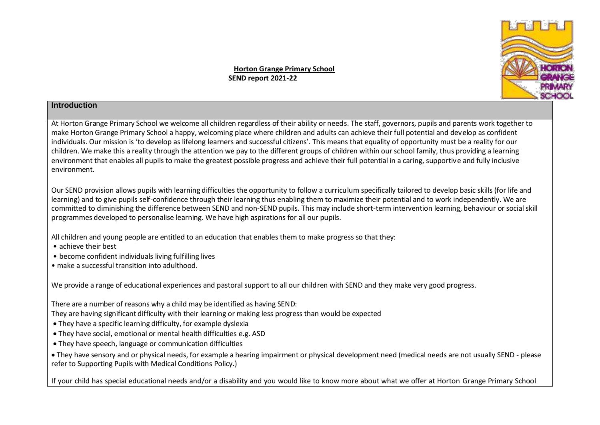**SCHOO** 

**Horton Grange Primary School SEND report 2021-22**

## **Introduction**

At Horton Grange Primary School we welcome all children regardless of their ability or needs. The staff, governors, pupils and parents work together to make Horton Grange Primary School a happy, welcoming place where children and adults can achieve their full potential and develop as confident individuals. Our mission is 'to develop as lifelong learners and successful citizens'. This means that equality of opportunity must be a reality for our children. We make this a reality through the attention we pay to the different groups of children within our school family, thus providing a learning environment that enables all pupils to make the greatest possible progress and achieve their full potential in a caring, supportive and fully inclusive environment.

Our SEND provision allows pupils with learning difficulties the opportunity to follow a curriculum specifically tailored to develop basic skills (for life and learning) and to give pupils self-confidence through their learning thus enabling them to maximize their potential and to work independently. We are committed to diminishing the difference between SEND and non-SEND pupils. This may include short-term intervention learning, behaviour or social skill programmes developed to personalise learning. We have high aspirations for all our pupils.

All children and young people are entitled to an education that enables them to make progress so that they:

- achieve their best
- become confident individuals living fulfilling lives
- make a successful transition into adulthood.

We provide a range of educational experiences and pastoral support to all our children with SEND and they make very good progress.

There are a number of reasons why a child may be identified as having SEND:

They are having significant difficulty with their learning or making less progress than would be expected

- They have a specific learning difficulty, for example dyslexia
- They have social, emotional or mental health difficulties e.g. ASD
- They have speech, language or communication difficulties

 They have sensory and or physical needs, for example a hearing impairment or physical development need (medical needs are not usually SEND - please refer to Supporting Pupils with Medical Conditions Policy.)

If your child has special educational needs and/or a disability and you would like to know more about what we offer at Horton Grange Primary School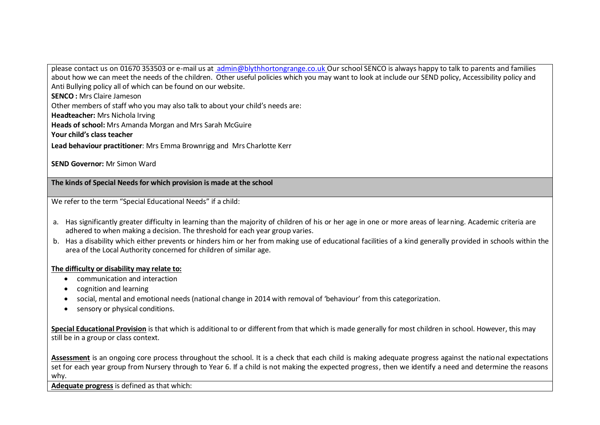please contact us on 01670 353503 or e-mail us at [admin@blythhortongrange.co.uk](mailto:%20admin@blythhortongrange.co.uk) Our school SENCO is always happy to talk to parents and families about how we can meet the needs of the children. Other useful policies which you may want to look at include our SEND policy, Accessibility policy and Anti Bullying policy all of which can be found on our website.

**SENCO :** Mrs Claire Jameson

Other members of staff who you may also talk to about your child's needs are:

**Headteacher:** Mrs Nichola Irving

**Heads of school:** Mrs Amanda Morgan and Mrs Sarah McGuire

**Your child's class teacher**

**Lead behaviour practitioner**: Mrs Emma Brownrigg and Mrs Charlotte Kerr

**SEND Governor:** Mr Simon Ward

**The kinds of Special Needs for which provision is made at the school**

We refer to the term "Special Educational Needs" if a child:

- a. Has significantly greater difficulty in learning than the majority of children of his or her age in one or more areas of learning. Academic criteria are adhered to when making a decision. The threshold for each year group varies.
- b. Has a disability which either prevents or hinders him or her from making use of educational facilities of a kind generally provided in schools within the area of the Local Authority concerned for children of similar age.

## **The difficulty or disability may relate to:**

- communication and interaction
- cognition and learning
- social, mental and emotional needs (national change in 2014 with removal of 'behaviour' from this categorization.
- sensory or physical conditions.

**Special Educational Provision** is that which is additional to or different from that which is made generally for most children in school. However, this may still be in a group or class context.

**Assessment** is an ongoing core process throughout the school. It is a check that each child is making adequate progress against the national expectations set for each year group from Nursery through to Year 6. If a child is not making the expected progress, then we identify a need and determine the reasons why.

**Adequate progress** is defined as that which: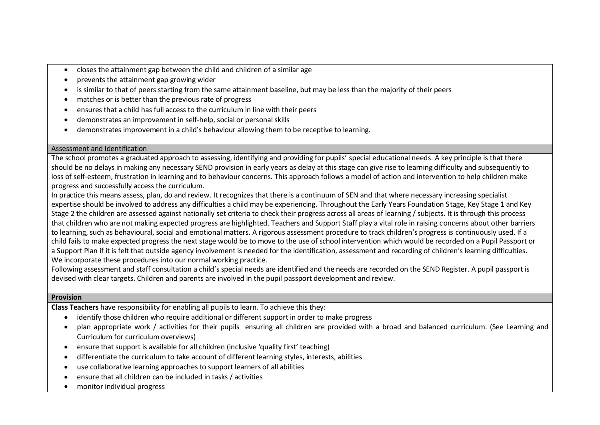- closes the attainment gap between the child and children of a similar age
- prevents the attainment gap growing wider
- is similar to that of peers starting from the same attainment baseline, but may be less than the majority of their peers
- matches or is better than the previous rate of progress
- ensures that a child has full access to the curriculum in line with their peers
- demonstrates an improvement in self-help, social or personal skills
- demonstrates improvement in a child's behaviour allowing them to be receptive to learning.

## Assessment and Identification

The school promotes a graduated approach to assessing, identifying and providing for pupils' special educational needs. A key principle is that there should be no delays in making any necessary SEND provision in early years as delay at this stage can give rise to learning difficulty and subsequently to loss of self-esteem, frustration in learning and to behaviour concerns. This approach follows a model of action and intervention to help children make progress and successfully access the curriculum.

In practice this means assess, plan, do and review. It recognizes that there is a continuum of SEN and that where necessary increasing specialist expertise should be involved to address any difficulties a child may be experiencing. Throughout the Early Years Foundation Stage, Key Stage 1 and Key Stage 2 the children are assessed against nationally set criteria to check their progress across all areas of learning / subjects. It is through this process that children who are not making expected progress are highlighted. Teachers and Support Staff play a vital role in raising concerns about other barriers to learning, such as behavioural, social and emotional matters. A rigorous assessment procedure to track children's progress is continuously used. If a child fails to make expected progress the next stage would be to move to the use of school intervention which would be recorded on a Pupil Passport or a Support Plan if it is felt that outside agency involvement is needed for the identification, assessment and recording of children's learning difficulties. We incorporate these procedures into our normal working practice.

Following assessment and staff consultation a child's special needs are identified and the needs are recorded on the SEND Register. A pupil passport is devised with clear targets. Children and parents are involved in the pupil passport development and review.

## **Provision**

**Class Teachers** have responsibility for enabling all pupils to learn. To achieve this they:

- identify those children who require additional or different support in order to make progress
- plan appropriate work / activities for their pupils ensuring all children are provided with a broad and balanced curriculum. (See Learning and Curriculum for curriculum overviews)
- ensure that support is available for all children (inclusive 'quality first' teaching)
- differentiate the curriculum to take account of different learning styles, interests, abilities
- use collaborative learning approaches to support learners of all abilities
- ensure that all children can be included in tasks / activities
- monitor individual progress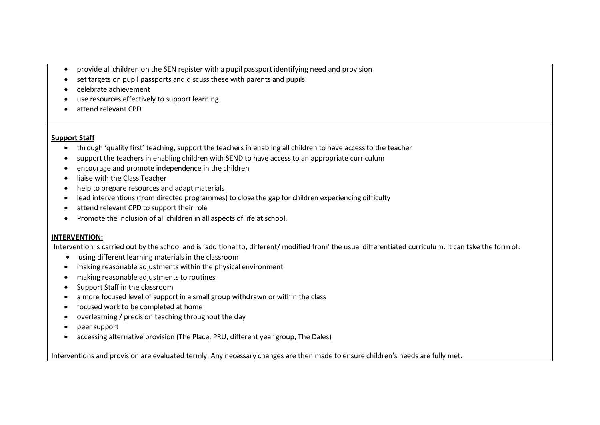- provide all children on the SEN register with a pupil passport identifying need and provision
- set targets on pupil passports and discuss these with parents and pupils
- celebrate achievement
- use resources effectively to support learning
- attend relevant CPD

#### **Support Staff**

- through 'quality first' teaching, support the teachers in enabling all children to have access to the teacher
- support the teachers in enabling children with SEND to have access to an appropriate curriculum
- encourage and promote independence in the children
- liaise with the Class Teacher
- help to prepare resources and adapt materials
- lead interventions (from directed programmes) to close the gap for children experiencing difficulty
- attend relevant CPD to support their role
- Promote the inclusion of all children in all aspects of life at school.

## **INTERVENTION:**

Intervention is carried out by the school and is 'additional to, different/ modified from' the usual differentiated curriculum. It can take the form of:

- using different learning materials in the classroom
- making reasonable adjustments within the physical environment
- making reasonable adjustments to routines
- Support Staff in the classroom
- a more focused level of support in a small group withdrawn or within the class
- focused work to be completed at home
- overlearning / precision teaching throughout the day
- peer support
- accessing alternative provision (The Place, PRU, different year group, The Dales)

Interventions and provision are evaluated termly. Any necessary changes are then made to ensure children's needs are fully met.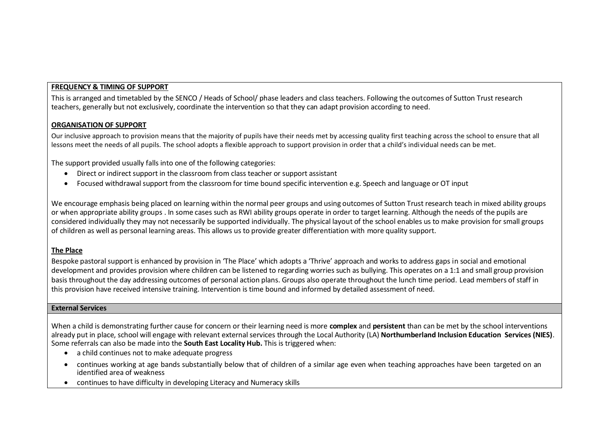## **FREQUENCY & TIMING OF SUPPORT**

This is arranged and timetabled by the SENCO / Heads of School/ phase leaders and class teachers. Following the outcomes of Sutton Trust research teachers, generally but not exclusively, coordinate the intervention so that they can adapt provision according to need.

#### **ORGANISATION OF SUPPORT**

Our inclusive approach to provision means that the majority of pupils have their needs met by accessing quality first teaching across the school to ensure that all lessons meet the needs of all pupils. The school adopts a flexible approach to support provision in order that a child's individual needs can be met.

The support provided usually falls into one of the following categories:

- Direct or indirect support in the classroom from class teacher or support assistant
- Focused withdrawal support from the classroom for time bound specific intervention e.g. Speech and language or OT input

We encourage emphasis being placed on learning within the normal peer groups and using outcomes of Sutton Trust research teach in mixed ability groups or when appropriate ability groups . In some cases such as RWI ability groups operate in order to target learning. Although the needs of the pupils are considered individually they may not necessarily be supported individually. The physical layout of the school enables us to make provision for small groups of children as well as personal learning areas. This allows us to provide greater differentiation with more quality support.

## **The Place**

Bespoke pastoral support is enhanced by provision in 'The Place' which adopts a 'Thrive' approach and works to address gaps in social and emotional development and provides provision where children can be listened to regarding worries such as bullying. This operates on a 1:1 and small group provision basis throughout the day addressing outcomes of personal action plans. Groups also operate throughout the lunch time period. Lead members of staff in this provision have received intensive training. Intervention is time bound and informed by detailed assessment of need.

#### **External Services**

When a child is demonstrating further cause for concern or their learning need is more **complex** and **persistent** than can be met by the school interventions already put in place, school will engage with relevant external services through the Local Authority (LA) **Northumberland Inclusion Education Services (NIES)**. Some referrals can also be made into the **South East Locality Hub.** This is triggered when:

- a child continues not to make adequate progress
- continues working at age bands substantially below that of children of a similar age even when teaching approaches have been targeted on an identified area of weakness
- continues to have difficulty in developing Literacy and Numeracy skills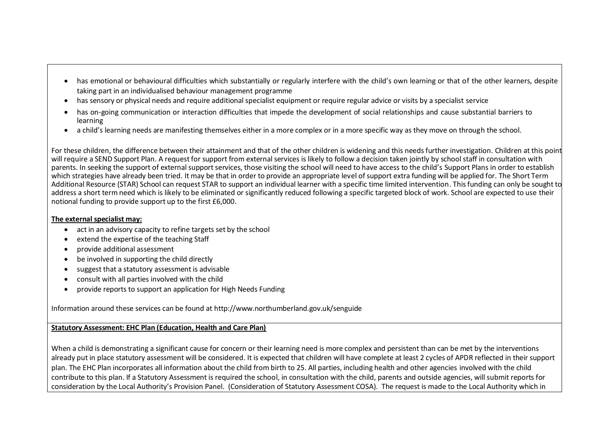- has emotional or behavioural difficulties which substantially or regularly interfere with the child's own learning or that of the other learners, despite taking part in an individualised behaviour management programme
- has sensory or physical needs and require additional specialist equipment or require regular advice or visits by a specialist service
- has on-going communication or interaction difficulties that impede the development of social relationships and cause substantial barriers to learning
- a child's learning needs are manifesting themselves either in a more complex or in a more specific way as they move on through the school.

For these children, the difference between their attainment and that of the other children is widening and this needs further investigation. Children at this point will require a SEND Support Plan. A request for support from external services is likely to follow a decision taken jointly by school staff in consultation with parents. In seeking the support of external support services, those visiting the school will need to have access to the child's Support Plans in order to establish which strategies have already been tried. It may be that in order to provide an appropriate level of support extra funding will be applied for. The Short Term Additional Resource (STAR) School can request STAR to support an individual learner with a specific time limited intervention. This funding can only be sought to address a short term need which is likely to be eliminated or significantly reduced following a specific targeted block of work. School are expected to use their notional funding to provide support up to the first £6,000.

## **The external specialist may:**

- act in an advisory capacity to refine targets set by the school
- extend the expertise of the teaching Staff
- provide additional assessment
- be involved in supporting the child directly
- suggest that a statutory assessment is advisable
- consult with all parties involved with the child
- provide reports to support an application for High Needs Funding

Information around these services can be found at http://www.northumberland.gov.uk/senguide

## **Statutory Assessment: EHC Plan (Education, Health and Care Plan)**

When a child is demonstrating a significant cause for concern or their learning need is more complex and persistent than can be met by the interventions already put in place statutory assessment will be considered. It is expected that children will have complete at least 2 cycles of APDR reflected in their support plan. The EHC Plan incorporates all information about the child from birth to 25. All parties, including health and other agencies involved with the child contribute to this plan. If a Statutory Assessment is required the school, in consultation with the child, parents and outside agencies, will submit reports for consideration by the Local Authority's Provision Panel. (Consideration of Statutory Assessment COSA). The request is made to the Local Authority which in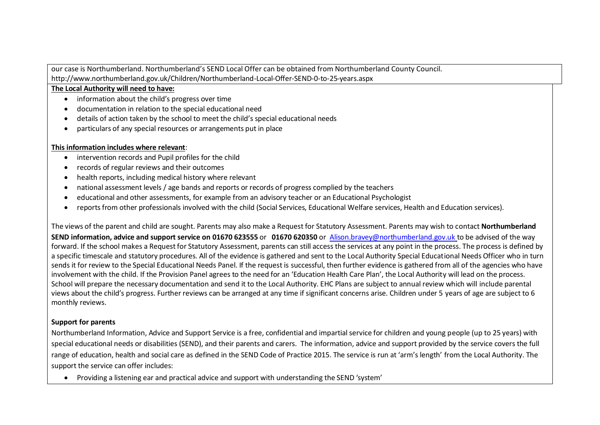our case is Northumberland. Northumberland's SEND Local Offer can be obtained from Northumberland County Council. http://www.northumberland.gov.uk/Children/Northumberland-Local-Offer-SEND-0-to-25-years.aspx

#### **The Local Authority will need to have:**

- information about the child's progress over time
- documentation in relation to the special educational need
- details of action taken by the school to meet the child's special educational needs
- particulars of any special resources or arrangements put in place

## **This information includes where relevant**:

- intervention records and Pupil profiles for the child
- records of regular reviews and their outcomes
- health reports, including medical history where relevant
- national assessment levels / age bands and reports or records of progress complied by the teachers
- educational and other assessments, for example from an advisory teacher or an Educational Psychologist
- reports from other professionals involved with the child (Social Services, Educational Welfare services, Health and Education services).

The views of the parent and child are sought. Parents may also make a Request for Statutory Assessment. Parents may wish to contact **Northumberland**

**SEND information, advice and support service on 01670 623555** or **01670 620350** or [Alison.bravey@northumberland.gov.uk](mailto:Alison.bravey@northumberland.gov.uk) to be advised of the way forward. If the school makes a Request for Statutory Assessment, parents can still access the services at any point in the process. The process is defined by a specific timescale and statutory procedures. All of the evidence is gathered and sent to the Local Authority Special Educational Needs Officer who in turn sends it for review to the Special Educational Needs Panel. If the request is successful, then further evidence is gathered from all of the agencies who have involvement with the child. If the Provision Panel agrees to the need for an 'Education Health Care Plan', the Local Authority will lead on the process. School will prepare the necessary documentation and send it to the Local Authority. EHC Plans are subject to annual review which will include parental views about the child's progress. Further reviews can be arranged at any time if significant concerns arise. Children under 5 years of age are subject to 6 monthly reviews.

## **Support for parents**

Northumberland Information, Advice and Support Service is a free, confidential and impartial service for children and young people (up to 25 years) with special educational needs or disabilities (SEND), and their parents and carers. The information, advice and support provided by the service covers the full range of education, health and social care as defined in the SEND Code of Practice 2015. The service is run at 'arm's length' from the Local Authority. The support the service can offer includes:

Providing a listening ear and practical advice and support with understanding the SEND 'system'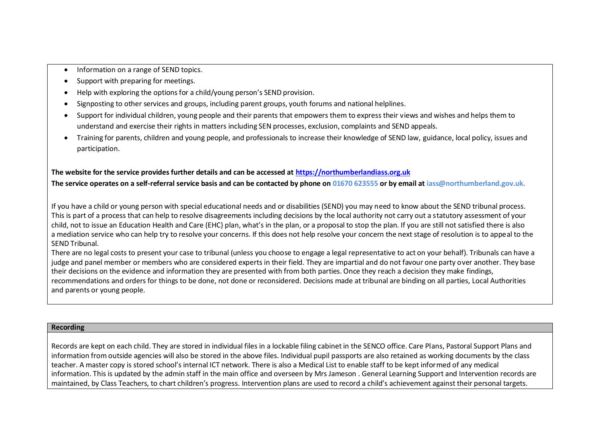- Information on a range of SEND topics.
- Support with preparing for meetings.
- Help with exploring the options for a child/young person's SEND provision.
- Signposting to other services and groups, including parent groups, youth forums and national helplines.
- Support for individual children, young people and their parents that empowers them to express their views and wishes and helps them to understand and exercise their rights in matters including SEN processes, exclusion, complaints and SEND appeals.
- Training for parents, children and young people, and professionals to increase their knowledge of SEND law, guidance, local policy, issues and participation.

# **The website for the service provides further details and can be accessed a[t https://northumberlandiass.org.uk](https://northumberlandiass.org.uk/)**

**The service operates on a self-referral service basis and can be contacted by phone on 01670 623555 or by email a[t iass@northumberland.gov.uk.](mailto:iass@northumberland.gov.uk)**

If you have a child or young person with special educational needs and or disabilities (SEND) you may need to know about the SEND tribunal process. This is part of a process that can help to resolve disagreements including decisions by the local authority not carry out a statutory assessment of your child, not to issue an Education Health and Care (EHC) plan, what's in the plan, or a proposal to stop the plan. If you are still not satisfied there is also a [mediation service](https://www.northumberland.gov.uk/Children/Northumberland-Local-Offer-SEND-0-to-25-years/Education-Schools/Right-to-appeal-and-tribunal/Mediation.aspx) who can help try to resolve your concerns. If this does not help resolve your concern the next stage of resolution is to appeal to the SEND Tribunal.

There are no legal costs to present your case to tribunal (unless you choose to engage a legal representative to act on your behalf). Tribunals can have a judge and panel member or members who are considered experts in their field. They are impartial and do not favour one party over another. They base their decisions on the evidence and information they are presented with from both parties. Once they reach a decision they make findings, recommendations and orders for things to be done, not done or reconsidered. Decisions made at tribunal are binding on all parties, Local Authorities and parents or young people.

#### **Recording**

Records are kept on each child. They are stored in individual files in a lockable filing cabinet in the SENCO office. Care Plans, Pastoral Support Plans and information from outside agencies will also be stored in the above files. Individual pupil passports are also retained as working documents by the class teacher. A master copy is stored school's internal ICT network. There is also a Medical List to enable staff to be kept informed of any medical information. This is updated by the admin staff in the main office and overseen by Mrs Jameson . General Learning Support and Intervention records are maintained, by Class Teachers, to chart children's progress. Intervention plans are used to record a child's achievement against their personal targets.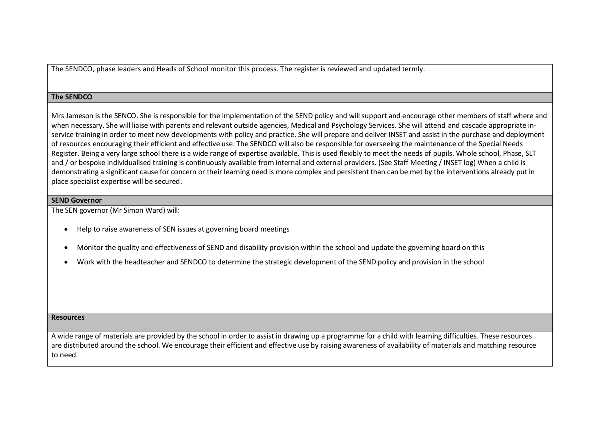The SENDCO, phase leaders and Heads of School monitor this process. The register is reviewed and updated termly.

#### **The SENDCO**

Mrs Jameson is the SENCO. She is responsible for the implementation of the SEND policy and will support and encourage other members of staff where and when necessary. She will liaise with parents and relevant outside agencies, Medical and Psychology Services. She will attend and cascade appropriate inservice training in order to meet new developments with policy and practice. She will prepare and deliver INSET and assist in the purchase and deployment of resources encouraging their efficient and effective use. The SENDCO will also be responsible for overseeing the maintenance of the Special Needs Register. Being a very large school there is a wide range of expertise available. This is used flexibly to meet the needs of pupils. Whole school, Phase, SLT and / or bespoke individualised training is continuously available from internal and external providers. (See Staff Meeting / INSET log) When a child is demonstrating a significant cause for concern or their learning need is more complex and persistent than can be met by the interventions already put in place specialist expertise will be secured.

#### **SEND Governor**

The SEN governor (Mr Simon Ward) will:

- Help to raise awareness of SEN issues at governing board meetings
- Monitor the quality and effectiveness of SEND and disability provision within the school and update the governing board on this
- Work with the headteacher and SENDCO to determine the strategic development of the SEND policy and provision in the school

#### **Resources**

A wide range of materials are provided by the school in order to assist in drawing up a programme for a child with learning difficulties. These resources are distributed around the school. We encourage their efficient and effective use by raising awareness of availability of materials and matching resource to need.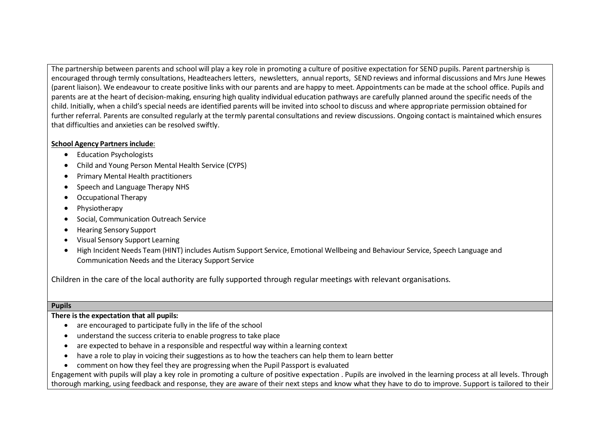The partnership between parents and school will play a key role in promoting a culture of positive expectation for SEND pupils. Parent partnership is encouraged through termly consultations, Headteachers letters, newsletters, annual reports, SEND reviews and informal discussions and Mrs June Hewes (parent liaison). We endeavour to create positive links with our parents and are happy to meet. Appointments can be made at the school office. Pupils and parents are at the heart of decision-making, ensuring high quality individual education pathways are carefully planned around the specific needs of the child. Initially, when a child's special needs are identified parents will be invited into school to discuss and where appropriate permission obtained for further referral. Parents are consulted regularly at the termly parental consultations and review discussions. Ongoing contact is maintained which ensures that difficulties and anxieties can be resolved swiftly.

## **School Agency Partners include**:

- Education Psychologists
- Child and Young Person Mental Health Service (CYPS)
- Primary Mental Health practitioners
- Speech and Language Therapy NHS
- Occupational Therapy
- Physiotherapy
- Social, Communication Outreach Service
- Hearing Sensory Support
- Visual Sensory Support Learning
- High Incident Needs Team (HINT) includes Autism Support Service, Emotional Wellbeing and Behaviour Service, Speech Language and Communication Needs and the Literacy Support Service

Children in the care of the local authority are fully supported through regular meetings with relevant organisations.

## **Pupils**

**There is the expectation that all pupils:**

- are encouraged to participate fully in the life of the school
- understand the success criteria to enable progress to take place
- are expected to behave in a responsible and respectful way within a learning context
- have a role to play in voicing their suggestions as to how the teachers can help them to learn better
- comment on how they feel they are progressing when the Pupil Passport is evaluated

Engagement with pupils will play a key role in promoting a culture of positive expectation . Pupils are involved in the learning process at all levels. Through thorough marking, using feedback and response, they are aware of their next steps and know what they have to do to improve. Support is tailored to their